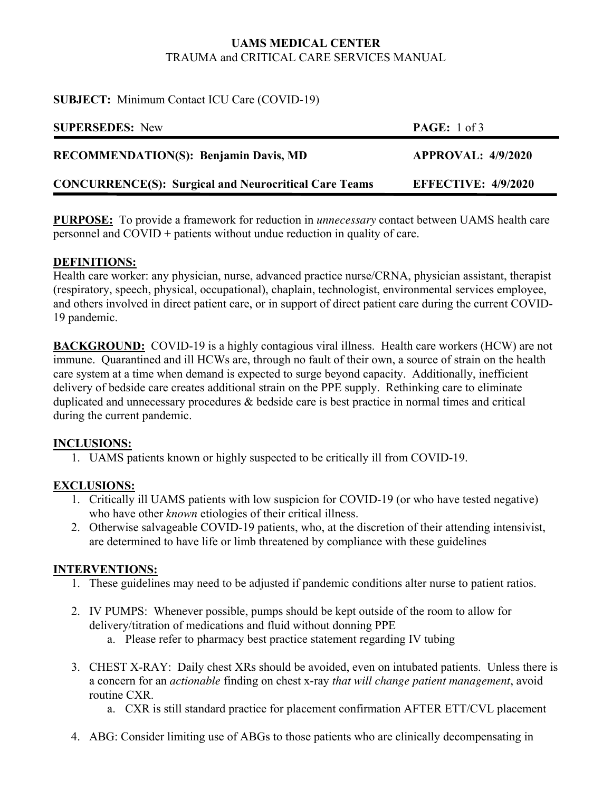# **UAMS MEDICAL CENTER**  TRAUMA and CRITICAL CARE SERVICES MANUAL

### **SUBJECT:** Minimum Contact ICU Care (COVID-19)

| <b>SUPERSEDES:</b> New                                       | <b>PAGE:</b> $1 \text{ of } 3$ |
|--------------------------------------------------------------|--------------------------------|
| <b>RECOMMENDATION(S): Benjamin Davis, MD</b>                 | <b>APPROVAL: 4/9/2020</b>      |
| <b>CONCURRENCE(S): Surgical and Neurocritical Care Teams</b> | EFFECTIVE: $4/9/2020$          |

**PURPOSE:** To provide a framework for reduction in *unnecessary* contact between UAMS health care personnel and COVID + patients without undue reduction in quality of care.

### **DEFINITIONS:**

Health care worker: any physician, nurse, advanced practice nurse/CRNA, physician assistant, therapist (respiratory, speech, physical, occupational), chaplain, technologist, environmental services employee, and others involved in direct patient care, or in support of direct patient care during the current COVID-19 pandemic.

**BACKGROUND:** COVID-19 is a highly contagious viral illness. Health care workers (HCW) are not immune. Quarantined and ill HCWs are, through no fault of their own, a source of strain on the health care system at a time when demand is expected to surge beyond capacity. Additionally, inefficient delivery of bedside care creates additional strain on the PPE supply. Rethinking care to eliminate duplicated and unnecessary procedures & bedside care is best practice in normal times and critical during the current pandemic.

# **INCLUSIONS:**

1. UAMS patients known or highly suspected to be critically ill from COVID-19.

# **EXCLUSIONS:**

- 1. Critically ill UAMS patients with low suspicion for COVID-19 (or who have tested negative) who have other *known* etiologies of their critical illness.
- 2. Otherwise salvageable COVID-19 patients, who, at the discretion of their attending intensivist, are determined to have life or limb threatened by compliance with these guidelines

# **INTERVENTIONS:**

- 1. These guidelines may need to be adjusted if pandemic conditions alter nurse to patient ratios.
- 2. IV PUMPS: Whenever possible, pumps should be kept outside of the room to allow for delivery/titration of medications and fluid without donning PPE
	- a. Please refer to pharmacy best practice statement regarding IV tubing
- 3. CHEST X-RAY: Daily chest XRs should be avoided, even on intubated patients. Unless there is a concern for an *actionable* finding on chest x-ray *that will change patient management*, avoid routine CXR.
	- a. CXR is still standard practice for placement confirmation AFTER ETT/CVL placement
- 4. ABG: Consider limiting use of ABGs to those patients who are clinically decompensating in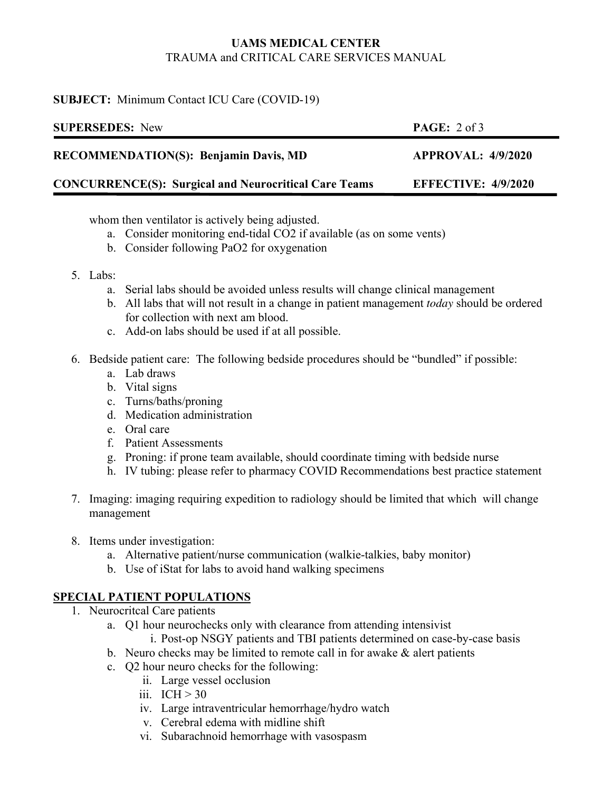# **UAMS MEDICAL CENTER**  TRAUMA and CRITICAL CARE SERVICES MANUAL

## **SUBJECT:** Minimum Contact ICU Care (COVID-19)

| <b>SUPERSEDES:</b> New                                       | <b>PAGE:</b> $2 \text{ of } 3$ |
|--------------------------------------------------------------|--------------------------------|
| <b>RECOMMENDATION(S): Benjamin Davis, MD</b>                 | APPROVAL: 4/9/2020             |
| <b>CONCURRENCE(S): Surgical and Neurocritical Care Teams</b> | <b>EFFECTIVE: 4/9/2020</b>     |

whom then ventilator is actively being adjusted.

- a. Consider monitoring end-tidal CO2 if available (as on some vents)
- b. Consider following PaO2 for oxygenation
- 5. Labs:
	- a. Serial labs should be avoided unless results will change clinical management
	- b. All labs that will not result in a change in patient management *today* should be ordered for collection with next am blood.
	- c. Add-on labs should be used if at all possible.
- 6. Bedside patient care: The following bedside procedures should be "bundled" if possible:
	- a. Lab draws
	- b. Vital signs
	- c. Turns/baths/proning
	- d. Medication administration
	- e. Oral care
	- f. Patient Assessments
	- g. Proning: if prone team available, should coordinate timing with bedside nurse
	- h. IV tubing: please refer to pharmacy COVID Recommendations best practice statement
- 7. Imaging: imaging requiring expedition to radiology should be limited that which will change management
- 8. Items under investigation:
	- a. Alternative patient/nurse communication (walkie-talkies, baby monitor)
	- b. Use of iStat for labs to avoid hand walking specimens

# **SPECIAL PATIENT POPULATIONS**

- 1. Neurocritcal Care patients
	- a. Q1 hour neurochecks only with clearance from attending intensivist i. Post-op NSGY patients and TBI patients determined on case-by-case basis
	- b. Neuro checks may be limited to remote call in for awake & alert patients
	- c. Q2 hour neuro checks for the following:
		- ii. Large vessel occlusion
		- iii.  $ICH > 30$
		- iv. Large intraventricular hemorrhage/hydro watch
		- v. Cerebral edema with midline shift
		- vi. Subarachnoid hemorrhage with vasospasm